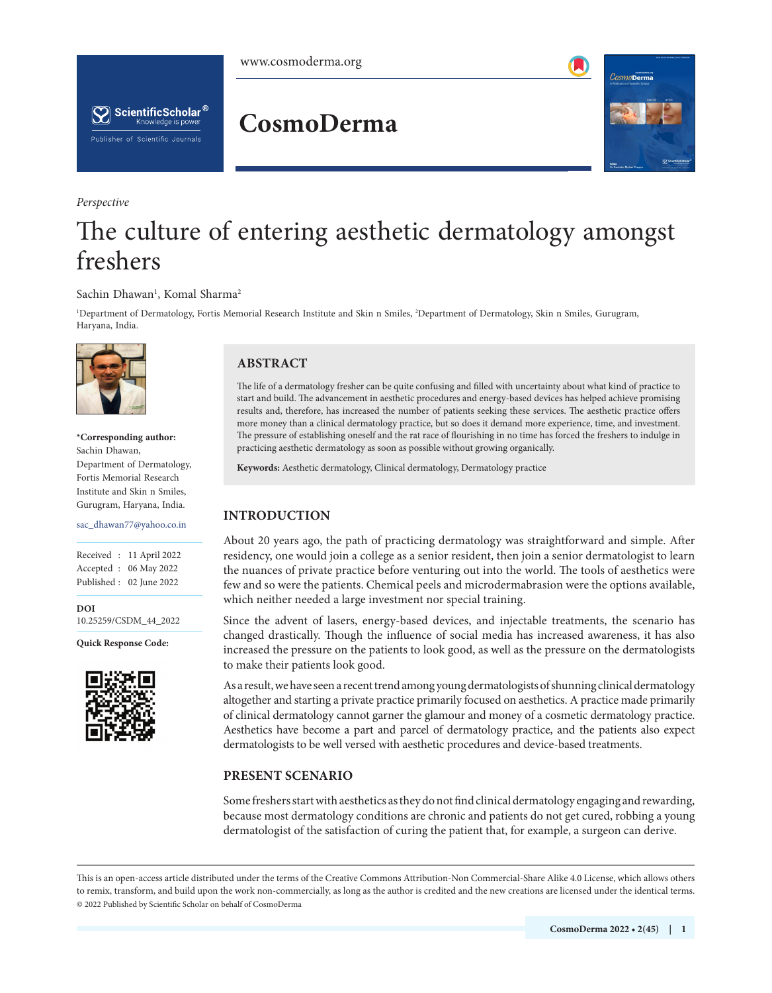



*Perspective*

## **CosmoDerma**



# The culture of entering aesthetic dermatology amongst freshers

### Sachin Dhawan<sup>1</sup>, Komal Sharma<sup>2</sup>

1 Department of Dermatology, Fortis Memorial Research Institute and Skin n Smiles, 2 Department of Dermatology, Skin n Smiles, Gurugram, Haryana, India.



**\*Corresponding author:** Sachin Dhawan, Department of Dermatology, Fortis Memorial Research Institute and Skin n Smiles, Gurugram, Haryana, India.

sac\_dhawan77@yahoo.co.in

Received : 11 April 2022 Accepted : 06 May 2022 Published : 02 June 2022

**DOI** 10.25259/CSDM\_44\_2022

**Quick Response Code:**



## **ABSTRACT**

The life of a dermatology fresher can be quite confusing and filled with uncertainty about what kind of practice to start and build. The advancement in aesthetic procedures and energy-based devices has helped achieve promising results and, therefore, has increased the number of patients seeking these services. The aesthetic practice offers more money than a clinical dermatology practice, but so does it demand more experience, time, and investment. The pressure of establishing oneself and the rat race of flourishing in no time has forced the freshers to indulge in practicing aesthetic dermatology as soon as possible without growing organically.

**Keywords:** Aesthetic dermatology, Clinical dermatology, Dermatology practice

## **INTRODUCTION**

About 20 years ago, the path of practicing dermatology was straightforward and simple. After residency, one would join a college as a senior resident, then join a senior dermatologist to learn the nuances of private practice before venturing out into the world. The tools of aesthetics were few and so were the patients. Chemical peels and microdermabrasion were the options available, which neither needed a large investment nor special training.

Since the advent of lasers, energy-based devices, and injectable treatments, the scenario has changed drastically. Though the influence of social media has increased awareness, it has also increased the pressure on the patients to look good, as well as the pressure on the dermatologists to make their patients look good.

As a result, we have seen a recent trend among young dermatologists of shunning clinical dermatology altogether and starting a private practice primarily focused on aesthetics. A practice made primarily of clinical dermatology cannot garner the glamour and money of a cosmetic dermatology practice. Aesthetics have become a part and parcel of dermatology practice, and the patients also expect dermatologists to be well versed with aesthetic procedures and device-based treatments.

## **PRESENT SCENARIO**

Some freshers start with aesthetics as they do not find clinical dermatology engaging and rewarding, because most dermatology conditions are chronic and patients do not get cured, robbing a young dermatologist of the satisfaction of curing the patient that, for example, a surgeon can derive.

This is an open-access article distributed under the terms of the Creative Commons Attribution-Non Commercial-Share Alike 4.0 License, which allows others to remix, transform, and build upon the work non-commercially, as long as the author is credited and the new creations are licensed under the identical terms. © 2022 Published by Scientific Scholar on behalf of CosmoDerma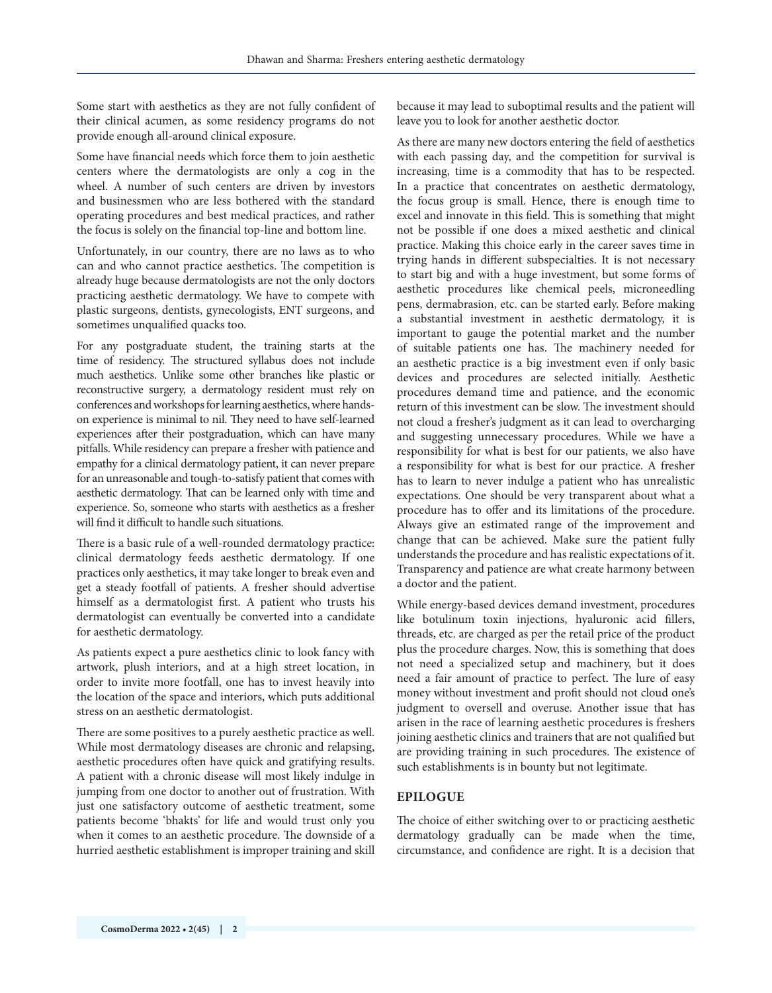Some start with aesthetics as they are not fully confident of their clinical acumen, as some residency programs do not provide enough all-around clinical exposure.

Some have financial needs which force them to join aesthetic centers where the dermatologists are only a cog in the wheel. A number of such centers are driven by investors and businessmen who are less bothered with the standard operating procedures and best medical practices, and rather the focus is solely on the financial top-line and bottom line.

Unfortunately, in our country, there are no laws as to who can and who cannot practice aesthetics. The competition is already huge because dermatologists are not the only doctors practicing aesthetic dermatology. We have to compete with plastic surgeons, dentists, gynecologists, ENT surgeons, and sometimes unqualified quacks too.

For any postgraduate student, the training starts at the time of residency. The structured syllabus does not include much aesthetics. Unlike some other branches like plastic or reconstructive surgery, a dermatology resident must rely on conferences and workshops for learning aesthetics, where handson experience is minimal to nil. They need to have self-learned experiences after their postgraduation, which can have many pitfalls. While residency can prepare a fresher with patience and empathy for a clinical dermatology patient, it can never prepare for an unreasonable and tough-to-satisfy patient that comes with aesthetic dermatology. That can be learned only with time and experience. So, someone who starts with aesthetics as a fresher will find it difficult to handle such situations.

There is a basic rule of a well-rounded dermatology practice: clinical dermatology feeds aesthetic dermatology. If one practices only aesthetics, it may take longer to break even and get a steady footfall of patients. A fresher should advertise himself as a dermatologist first. A patient who trusts his dermatologist can eventually be converted into a candidate for aesthetic dermatology.

As patients expect a pure aesthetics clinic to look fancy with artwork, plush interiors, and at a high street location, in order to invite more footfall, one has to invest heavily into the location of the space and interiors, which puts additional stress on an aesthetic dermatologist.

There are some positives to a purely aesthetic practice as well. While most dermatology diseases are chronic and relapsing, aesthetic procedures often have quick and gratifying results. A patient with a chronic disease will most likely indulge in jumping from one doctor to another out of frustration. With just one satisfactory outcome of aesthetic treatment, some patients become 'bhakts' for life and would trust only you when it comes to an aesthetic procedure. The downside of a hurried aesthetic establishment is improper training and skill because it may lead to suboptimal results and the patient will leave you to look for another aesthetic doctor.

As there are many new doctors entering the field of aesthetics with each passing day, and the competition for survival is increasing, time is a commodity that has to be respected. In a practice that concentrates on aesthetic dermatology, the focus group is small. Hence, there is enough time to excel and innovate in this field. This is something that might not be possible if one does a mixed aesthetic and clinical practice. Making this choice early in the career saves time in trying hands in different subspecialties. It is not necessary to start big and with a huge investment, but some forms of aesthetic procedures like chemical peels, microneedling pens, dermabrasion, etc. can be started early. Before making a substantial investment in aesthetic dermatology, it is important to gauge the potential market and the number of suitable patients one has. The machinery needed for an aesthetic practice is a big investment even if only basic devices and procedures are selected initially. Aesthetic procedures demand time and patience, and the economic return of this investment can be slow. The investment should not cloud a fresher's judgment as it can lead to overcharging and suggesting unnecessary procedures. While we have a responsibility for what is best for our patients, we also have a responsibility for what is best for our practice. A fresher has to learn to never indulge a patient who has unrealistic expectations. One should be very transparent about what a procedure has to offer and its limitations of the procedure. Always give an estimated range of the improvement and change that can be achieved. Make sure the patient fully understands the procedure and has realistic expectations of it. Transparency and patience are what create harmony between a doctor and the patient.

While energy-based devices demand investment, procedures like botulinum toxin injections, hyaluronic acid fillers, threads, etc. are charged as per the retail price of the product plus the procedure charges. Now, this is something that does not need a specialized setup and machinery, but it does need a fair amount of practice to perfect. The lure of easy money without investment and profit should not cloud one's judgment to oversell and overuse. Another issue that has arisen in the race of learning aesthetic procedures is freshers joining aesthetic clinics and trainers that are not qualified but are providing training in such procedures. The existence of such establishments is in bounty but not legitimate.

#### **EPILOGUE**

The choice of either switching over to or practicing aesthetic dermatology gradually can be made when the time, circumstance, and confidence are right. It is a decision that